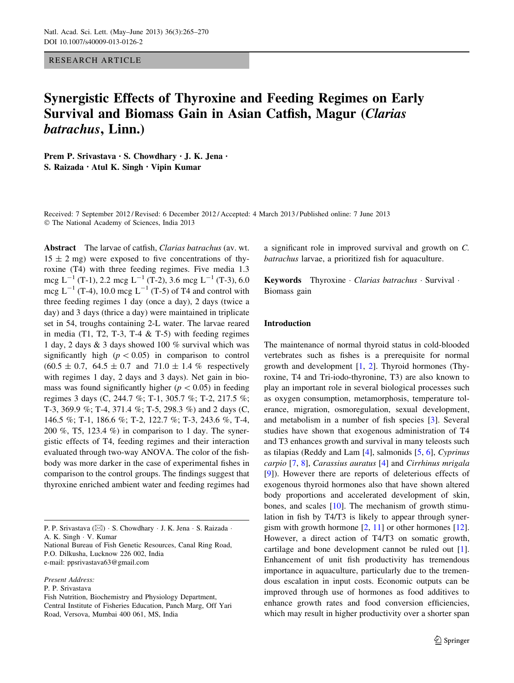### RESEARCH ARTICLE

# Synergistic Effects of Thyroxine and Feeding Regimes on Early Survival and Biomass Gain in Asian Catfish, Magur (Clarias batrachus, Linn.)

Prem P. Srivastava • S. Chowdhary • J. K. Jena • S. Raizada • Atul K. Singh • Vipin Kumar

Received: 7 September 2012 / Revised: 6 December 2012 / Accepted: 4 March 2013 / Published online: 7 June 2013 - The National Academy of Sciences, India 2013

Abstract The larvae of catfish, Clarias batrachus (av. wt.  $15 \pm 2$  mg) were exposed to five concentrations of thyroxine (T4) with three feeding regimes. Five media 1.3 mcg  $L^{-1}$  (T-1), 2.2 mcg  $L^{-1}$  (T-2), 3.6 mcg  $L^{-1}$  (T-3), 6.0 mcg  $L^{-1}$  (T-4), 10.0 mcg  $L^{-1}$  (T-5) of T4 and control with three feeding regimes 1 day (once a day), 2 days (twice a day) and 3 days (thrice a day) were maintained in triplicate set in 54, troughs containing 2-L water. The larvae reared in media (T1, T2, T-3, T-4  $&$  T-5) with feeding regimes 1 day, 2 days & 3 days showed 100 % survival which was significantly high  $(p<0.05)$  in comparison to control  $(60.5 \pm 0.7, 64.5 \pm 0.7, 64.5 \pm 0.7)$  and  $(71.0 \pm 1.4, 6)$  respectively with regimes 1 day, 2 days and 3 days). Net gain in biomass was found significantly higher ( $p < 0.05$ ) in feeding regimes 3 days (C, 244.7 %; T-1, 305.7 %; T-2, 217.5 %; T-3, 369.9 %; T-4, 371.4 %; T-5, 298.3 %) and 2 days (C, 146.5 %; T-1, 186.6 %; T-2, 122.7 %; T-3, 243.6 %, T-4, 200 %, T5, 123.4 %) in comparison to 1 day. The synergistic effects of T4, feeding regimes and their interaction evaluated through two-way ANOVA. The color of the fishbody was more darker in the case of experimental fishes in comparison to the control groups. The findings suggest that thyroxine enriched ambient water and feeding regimes had

P. P. Srivastava (⊠) · S. Chowdhary · J. K. Jena · S. Raizada · A. K. Singh - V. Kumar

National Bureau of Fish Genetic Resources, Canal Ring Road, P.O. Dilkusha, Lucknow 226 002, India e-mail: ppsrivastava63@gmail.com

Present Address:

P. P. Srivastava

Fish Nutrition, Biochemistry and Physiology Department, Central Institute of Fisheries Education, Panch Marg, Off Yari Road, Versova, Mumbai 400 061, MS, India

a significant role in improved survival and growth on C. batrachus larvae, a prioritized fish for aquaculture.

Keywords Thyroxine · Clarias batrachus · Survival · Biomass gain

## Introduction

The maintenance of normal thyroid status in cold-blooded vertebrates such as fishes is a prerequisite for normal growth and development  $[1, 2]$  $[1, 2]$  $[1, 2]$  $[1, 2]$  $[1, 2]$ . Thyroid hormones (Thyroxine, T4 and Tri-iodo-thyronine, T3) are also known to play an important role in several biological processes such as oxygen consumption, metamorphosis, temperature tolerance, migration, osmoregulation, sexual development, and metabolism in a number of fish species [\[3](#page-4-0)]. Several studies have shown that exogenous administration of T4 and T3 enhances growth and survival in many teleosts such as tilapias (Reddy and Lam  $[4]$  $[4]$ , salmonids  $[5, 6]$  $[5, 6]$  $[5, 6]$  $[5, 6]$  $[5, 6]$ , Cyprinus carpio [[7,](#page-4-0) [8\]](#page-4-0), Carassius auratus [\[4](#page-4-0)] and Cirrhinus mrigala [\[9](#page-4-0)]). However there are reports of deleterious effects of exogenous thyroid hormones also that have shown altered body proportions and accelerated development of skin, bones, and scales [\[10](#page-4-0)]. The mechanism of growth stimulation in fish by T4/T3 is likely to appear through synergism with growth hormone  $[2, 11]$  $[2, 11]$  $[2, 11]$  $[2, 11]$  $[2, 11]$  or other hormones  $[12]$  $[12]$ . However, a direct action of T4/T3 on somatic growth, cartilage and bone development cannot be ruled out [\[1](#page-4-0)]. Enhancement of unit fish productivity has tremendous importance in aquaculture, particularly due to the tremendous escalation in input costs. Economic outputs can be improved through use of hormones as food additives to enhance growth rates and food conversion efficiencies, which may result in higher productivity over a shorter span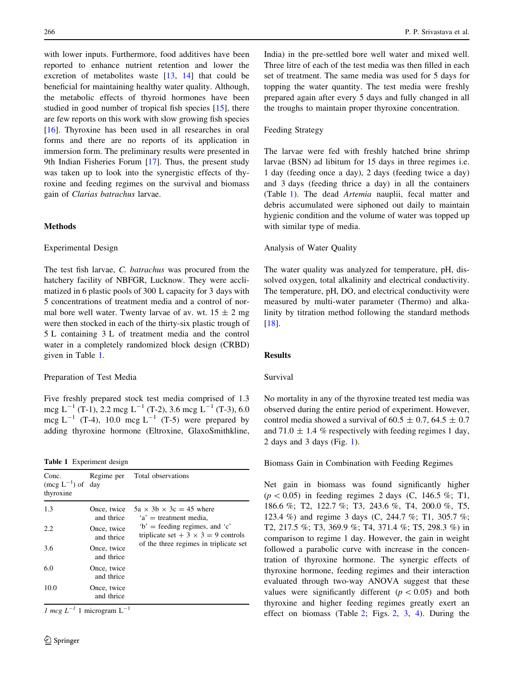with lower inputs. Furthermore, food additives have been reported to enhance nutrient retention and lower the excretion of metabolites waste [[13,](#page-4-0) [14](#page-4-0)] that could be beneficial for maintaining healthy water quality. Although, the metabolic effects of thyroid hormones have been studied in good number of tropical fish species [[15\]](#page-4-0), there are few reports on this work with slow growing fish species [\[16](#page-4-0)]. Thyroxine has been used in all researches in oral forms and there are no reports of its application in immersion form. The preliminary results were presented in 9th Indian Fisheries Forum [[17\]](#page-4-0). Thus, the present study was taken up to look into the synergistic effects of thyroxine and feeding regimes on the survival and biomass gain of Clarias batrachus larvae.

# Methods

#### Experimental Design

The test fish larvae, C. batrachus was procured from the hatchery facility of NBFGR, Lucknow. They were acclimatized in 6 plastic pools of 300 L capacity for 3 days with 5 concentrations of treatment media and a control of normal bore well water. Twenty larvae of av. wt.  $15 \pm 2$  mg were then stocked in each of the thirty-six plastic trough of 5 L containing 3 L of treatment media and the control water in a completely randomized block design (CRBD) given in Table 1.

#### Preparation of Test Media

Five freshly prepared stock test media comprised of 1.3 mcg  $L^{-1}$  (T-1), 2.2 mcg  $L^{-1}$  (T-2), 3.6 mcg  $L^{-1}$  (T-3), 6.0 mcg  $L^{-1}$  (T-4), 10.0 mcg  $L^{-1}$  (T-5) were prepared by adding thyroxine hormone (Eltroxine, GlaxoSmithkline,

Table 1 Experiment design

| Conc.<br>$(\text{mcg } L^{-1})$ of day<br>thyroxine |                           | Regime per Total observations                                                  |
|-----------------------------------------------------|---------------------------|--------------------------------------------------------------------------------|
| 1.3                                                 | Once, twice<br>and thrice | $5a \times 3b \times 3c = 45$ where<br>$a'$ = treatment media.                 |
| 2.2                                                 | Once, twice<br>and thrice | $b'$ = feeding regimes, and $c'$<br>triplicate set + $3 \times 3 = 9$ controls |
| 3.6                                                 | Once, twice<br>and thrice | of the three regimes in triplicate set                                         |
| 6.0                                                 | Once, twice<br>and thrice |                                                                                |
| 10.0                                                | Once, twice<br>and thrice |                                                                                |

1 mcg  $L^{-1}$  1 microgram  $L^{-1}$ 

India) in the pre-settled bore well water and mixed well. Three litre of each of the test media was then filled in each set of treatment. The same media was used for 5 days for topping the water quantity. The test media were freshly prepared again after every 5 days and fully changed in all the troughs to maintain proper thyroxine concentration.

#### Feeding Strategy

The larvae were fed with freshly hatched brine shrimp larvae (BSN) ad libitum for 15 days in three regimes i.e. 1 day (feeding once a day), 2 days (feeding twice a day) and 3 days (feeding thrice a day) in all the containers (Table 1). The dead Artemia nauplii, fecal matter and debris accumulated were siphoned out daily to maintain hygienic condition and the volume of water was topped up with similar type of media.

#### Analysis of Water Quality

The water quality was analyzed for temperature, pH, dissolved oxygen, total alkalinity and electrical conductivity. The temperature, pH, DO, and electrical conductivity were measured by multi-water parameter (Thermo) and alkalinity by titration method following the standard methods [\[18](#page-4-0)].

#### Results

# Survival

No mortality in any of the thyroxine treated test media was observed during the entire period of experiment. However, control media showed a survival of  $60.5 \pm 0.7$ ,  $64.5 \pm 0.7$ and 71.0  $\pm$  1.4 % respectively with feeding regimes 1 day, 2 days and 3 days (Fig. [1](#page-2-0)).

Biomass Gain in Combination with Feeding Regimes

Net gain in biomass was found significantly higher  $(p < 0.05)$  in feeding regimes 2 days (C, 146.5 %; T1, 186.6 %; T2, 122.7 %; T3, 243.6 %, T4, 200.0 %, T5, 123.4 %) and regime 3 days (C, 244.7 %; T1, 305.7 %; T2, 217.5 %; T3, 369.9 %; T4, 371.4 %; T5, 298.3 %) in comparison to regime 1 day. However, the gain in weight followed a parabolic curve with increase in the concentration of thyroxine hormone. The synergic effects of thyroxine hormone, feeding regimes and their interaction evaluated through two-way ANOVA suggest that these values were significantly different  $(p<0.05)$  and both thyroxine and higher feeding regimes greatly exert an effect on biomass (Table [2](#page-2-0); Figs. [2,](#page-3-0) [3](#page-3-0), [4](#page-3-0)). During the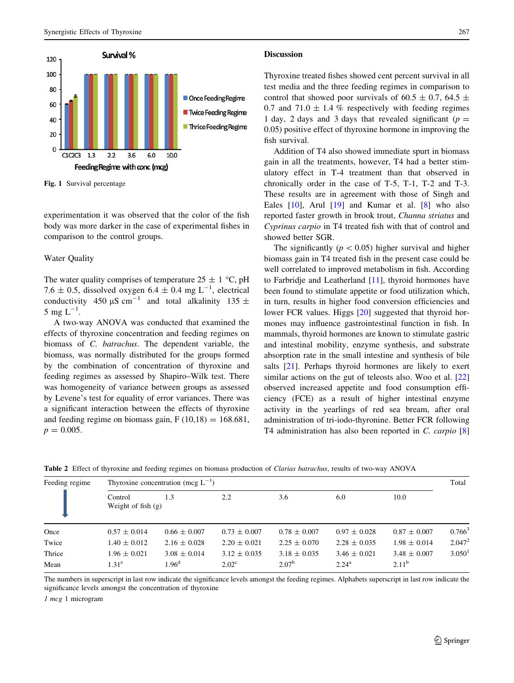<span id="page-2-0"></span>

Fig. 1 Survival percentage

experimentation it was observed that the color of the fish body was more darker in the case of experimental fishes in comparison to the control groups.

#### Water Quality

The water quality comprises of temperature  $25 \pm 1$  °C, pH 7.6  $\pm$  0.5, dissolved oxygen 6.4  $\pm$  0.4 mg L<sup>-1</sup>, electrical conductivity 450  $\mu$ S cm<sup>-1</sup> and total alkalinity 135  $\pm$ 5 mg  $L^{-1}$ .

A two-way ANOVA was conducted that examined the effects of thyroxine concentration and feeding regimes on biomass of C. batrachus. The dependent variable, the biomass, was normally distributed for the groups formed by the combination of concentration of thyroxine and feeding regimes as assessed by Shapiro–Wilk test. There was homogeneity of variance between groups as assessed by Levene's test for equality of error variances. There was a significant interaction between the effects of thyroxine and feeding regime on biomass gain,  $F(10,18) = 168.681$ ,  $p = 0.005$ .

#### **Discussion**

Thyroxine treated fishes showed cent percent survival in all test media and the three feeding regimes in comparison to control that showed poor survivals of 60.5  $\pm$  0.7, 64.5  $\pm$ 0.7 and 71.0  $\pm$  1.4 % respectively with feeding regimes 1 day, 2 days and 3 days that revealed significant ( $p =$ 0.05) positive effect of thyroxine hormone in improving the fish survival.

Addition of T4 also showed immediate spurt in biomass gain in all the treatments, however, T4 had a better stimulatory effect in T-4 treatment than that observed in chronically order in the case of T-5, T-1, T-2 and T-3. These results are in agreement with those of Singh and Eales [\[10](#page-4-0)], Arul [\[19](#page-4-0)] and Kumar et al. [\[8](#page-4-0)] who also reported faster growth in brook trout, Channa striatus and Cyprinus carpio in T4 treated fish with that of control and showed better SGR.

The significantly ( $p<0.05$ ) higher survival and higher biomass gain in T4 treated fish in the present case could be well correlated to improved metabolism in fish. According to Farbridje and Leatherland [[11\]](#page-4-0), thyroid hormones have been found to stimulate appetite or food utilization which, in turn, results in higher food conversion efficiencies and lower FCR values. Higgs [[20\]](#page-4-0) suggested that thyroid hormones may influence gastrointestinal function in fish. In mammals, thyroid hormones are known to stimulate gastric and intestinal mobility, enzyme synthesis, and substrate absorption rate in the small intestine and synthesis of bile salts [\[21](#page-4-0)]. Perhaps thyroid hormones are likely to exert similar actions on the gut of teleosts also. Woo et al. [[22\]](#page-4-0) observed increased appetite and food consumption efficiency (FCE) as a result of higher intestinal enzyme activity in the yearlings of red sea bream, after oral administration of tri-iodo-thyronine. Better FCR following T4 administration has also been reported in C. carpio [[8\]](#page-4-0)

| Feeding regime | Thyroxine concentration (mcg $L^{-1}$ ) |                   |                  |                   |                  |                  |                      |
|----------------|-----------------------------------------|-------------------|------------------|-------------------|------------------|------------------|----------------------|
|                | Control<br>Weight of fish $(g)$         | 1.3               | 2.2              | 3.6               | 6.0              | 10.0             |                      |
| Once           | $0.57 \pm 0.014$                        | $0.66 \pm 0.007$  | $0.73 \pm 0.007$ | $0.78 \pm 0.007$  | $0.97 \pm 0.028$ | $0.87 \pm 0.007$ | $0.766^3$            |
| Twice          | $1.40 \pm 0.012$                        | $2.16 \pm 0.028$  | $2.20 \pm 0.021$ | $2.25 \pm 0.070$  | $2.28 \pm 0.035$ | $1.98 \pm 0.014$ | $2.047^2$            |
| Thrice         | $1.96 \pm 0.021$                        | $3.08 \pm 0.014$  | $3.12 \pm 0.035$ | $3.18 \pm 0.035$  | $3.46 \pm 0.021$ | $3.48 \pm 0.007$ | $3.050$ <sup>1</sup> |
| Mean           | $1.31^e$                                | 1.96 <sup>d</sup> | $2.02^{\circ}$   | 2.07 <sup>b</sup> | $2.24^{\rm a}$   | $2.11^{\rm b}$   |                      |

Table 2 Effect of thyroxine and feeding regimes on biomass production of Clarias batrachus, results of two-way ANOVA

The numbers in superscript in last row indicate the significance levels amongst the feeding regimes. Alphabets superscript in last row indicate the significance levels amongst the concentration of thyroxine

1 mcg 1 microgram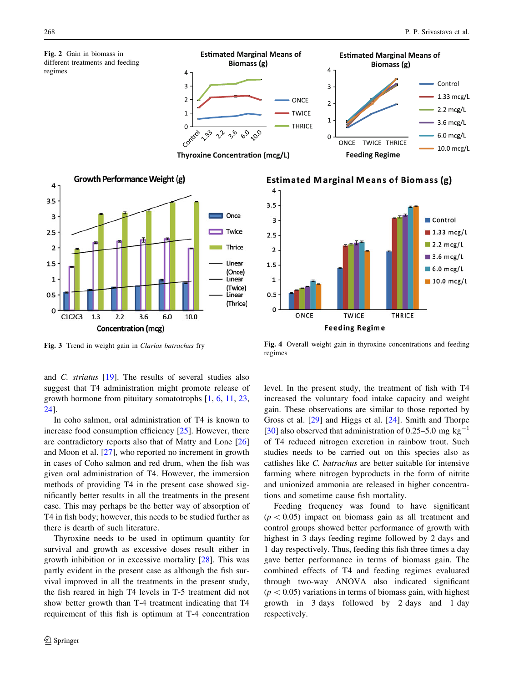<span id="page-3-0"></span>

Biomass (g)

22 36 60 00

 $\overline{4}$ 

3

 $\overline{2}$ 

 $\mathbf{1}$ 

 $\Omega$ 

Concentration (mcg)

and C. striatus [\[19](#page-4-0)]. The results of several studies also suggest that T4 administration might promote release of growth hormone from pituitary somatotrophs [\[1](#page-4-0), [6,](#page-4-0) [11](#page-4-0), [23,](#page-4-0) [24](#page-4-0)].

In coho salmon, oral administration of T4 is known to increase food consumption efficiency [\[25](#page-5-0)]. However, there are contradictory reports also that of Matty and Lone [[26\]](#page-5-0) and Moon et al. [\[27](#page-5-0)], who reported no increment in growth in cases of Coho salmon and red drum, when the fish was given oral administration of T4. However, the immersion methods of providing T4 in the present case showed significantly better results in all the treatments in the present case. This may perhaps be the better way of absorption of T4 in fish body; however, this needs to be studied further as there is dearth of such literature.

Thyroxine needs to be used in optimum quantity for survival and growth as excessive doses result either in growth inhibition or in excessive mortality [\[28](#page-5-0)]. This was partly evident in the present case as although the fish survival improved in all the treatments in the present study, the fish reared in high T4 levels in T-5 treatment did not show better growth than T-4 treatment indicating that T4 requirement of this fish is optimum at T-4 concentration



**Estimated Marginal Means of Biomass (g)** 



Fig. 3 Trend in weight gain in Clarias batrachus fry Fig. 4 Overall weight gain in thyroxine concentrations and feeding regimes

level. In the present study, the treatment of fish with T4 increased the voluntary food intake capacity and weight gain. These observations are similar to those reported by Gross et al. [[29](#page-5-0)] and Higgs et al. [\[24](#page-4-0)]. Smith and Thorpe [\[30](#page-5-0)] also observed that administration of 0.25–5.0 mg kg<sup>-1</sup> of T4 reduced nitrogen excretion in rainbow trout. Such studies needs to be carried out on this species also as catfishes like C. batrachus are better suitable for intensive farming where nitrogen byproducts in the form of nitrite and unionized ammonia are released in higher concentrations and sometime cause fish mortality.

Feeding frequency was found to have significant  $(p<0.05)$  impact on biomass gain as all treatment and control groups showed better performance of growth with highest in 3 days feeding regime followed by 2 days and 1 day respectively. Thus, feeding this fish three times a day gave better performance in terms of biomass gain. The combined effects of T4 and feeding regimes evaluated through two-way ANOVA also indicated significant  $(p<0.05)$  variations in terms of biomass gain, with highest growth in 3 days followed by 2 days and 1 day respectively.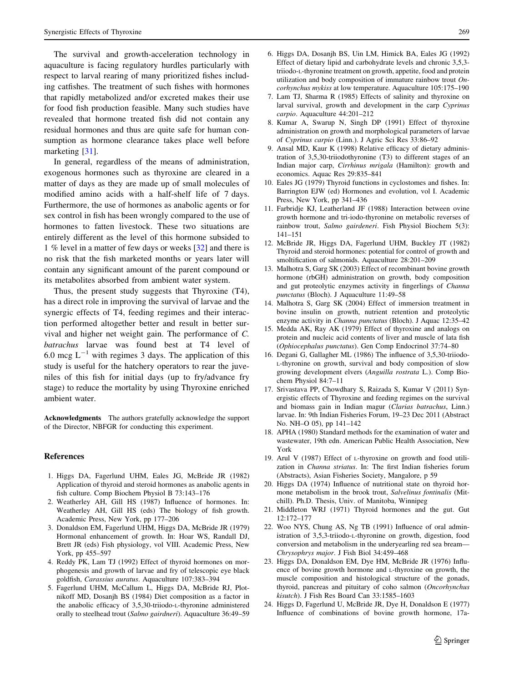<span id="page-4-0"></span>The survival and growth-acceleration technology in aquaculture is facing regulatory hurdles particularly with respect to larval rearing of many prioritized fishes including catfishes. The treatment of such fishes with hormones that rapidly metabolized and/or excreted makes their use for food fish production feasible. Many such studies have revealed that hormone treated fish did not contain any residual hormones and thus are quite safe for human consumption as hormone clearance takes place well before marketing [\[31](#page-5-0)].

In general, regardless of the means of administration, exogenous hormones such as thyroxine are cleared in a matter of days as they are made up of small molecules of modified amino acids with a half-shelf life of 7 days. Furthermore, the use of hormones as anabolic agents or for sex control in fish has been wrongly compared to the use of hormones to fatten livestock. These two situations are entirely different as the level of this hormone subsided to 1 % level in a matter of few days or weeks [\[32](#page-5-0)] and there is no risk that the fish marketed months or years later will contain any significant amount of the parent compound or its metabolites absorbed from ambient water system.

Thus, the present study suggests that Thyroxine (T4), has a direct role in improving the survival of larvae and the synergic effects of T4, feeding regimes and their interaction performed altogether better and result in better survival and higher net weight gain. The performance of C. batrachus larvae was found best at T4 level of 6.0 mcg  $L^{-1}$  with regimes 3 days. The application of this study is useful for the hatchery operators to rear the juveniles of this fish for initial days (up to fry/advance fry stage) to reduce the mortality by using Thyroxine enriched ambient water.

Acknowledgments The authors gratefully acknowledge the support of the Director, NBFGR for conducting this experiment.

#### **References**

- 1. Higgs DA, Fagerlund UHM, Eales JG, McBride JR (1982) Application of thyroid and steroid hormones as anabolic agents in fish culture. Comp Biochem Physiol B 73:143–176
- 2. Weatherley AH, Gill HS (1987) Influence of hormones. In: Weatherley AH, Gill HS (eds) The biology of fish growth. Academic Press, New York, pp 177–206
- 3. Donaldson EM, Fagerlund UHM, Higgs DA, McBride JR (1979) Hormonal enhancement of growth. In: Hoar WS, Randall DJ, Brett JR (eds) Fish physiology, vol VIII. Academic Press, New York, pp 455–597
- 4. Reddy PK, Lam TJ (1992) Effect of thyroid hormones on morphogenesis and growth of larvae and fry of telescopic eye black goldfish, Carassius auratus. Aquaculture 107:383–394
- 5. Fagerlund UHM, McCallum L, Higgs DA, McBride RJ, Plotnikoff MD, Dosanjh BS (1984) Diet composition as a factor in the anabolic efficacy of 3,5,30-triiodo-L-thyronine administered orally to steelhead trout (Salmo gairdneri). Aquaculture 36:49–59
- 6. Higgs DA, Dosanjh BS, Uin LM, Himick BA, Eales JG (1992) Effect of dietary lipid and carbohydrate levels and chronic 3,5,3 triiodo-L-thyronine treatment on growth, appetite, food and protein utilization and body composition of immature rainbow trout  $On$ corhynchus mykiss at low temperature. Aquaculture 105:175–190
- 7. Lam TJ, Sharma R (1985) Effects of salinity and thyroxine on larval survival, growth and development in the carp Cyprinus carpio. Aquaculture 44:201–212
- 8. Kumar A, Swarup N, Singh DP (1991) Effect of thyroxine administration on growth and morphological parameters of larvae of Cyprinus carpio (Linn.). J Agric Sci Res 33:86–92
- 9. Ansal MD, Kaur K (1998) Relative efficacy of dietary administration of 3,5,30-triiodothyronine (T3) to different stages of an Indian major carp, Cirrhinus mrigala (Hamilton): growth and economics. Aquac Res 29:835–841
- 10. Eales JG (1979) Thyroid functions in cyclostomes and fishes. In: Barrington EJW (ed) Hormones and evolution, vol I. Academic Press, New York, pp 341–436
- 11. Farbridje KJ, Leatherland JF (1988) Interaction between ovine growth hormone and tri-iodo-thyronine on metabolic reverses of rainbow trout, Salmo gairdeneri. Fish Physiol Biochem 5(3): 141–151
- 12. McBride JR, Higgs DA, Fagerlund UHM, Buckley JT (1982) Thyroid and steroid hormones: potential for control of growth and smoltification of salmonids. Aquaculture 28:201–209
- 13. Malhotra S, Garg SK (2003) Effect of recombinant bovine growth hormone (rbGH) administration on growth, body composition and gut proteolytic enzymes activity in fingerlings of Channa punctatus (Bloch). J Aquaculture 11:49–58
- 14. Malhotra S, Garg SK (2004) Effect of immersion treatment in bovine insulin on growth, nutrient retention and proteolytic enzyme activity in Channa punctatus (Bloch). J Aquac 12:35–42
- 15. Medda AK, Ray AK (1979) Effect of thyroxine and analogs on protein and nucleic acid contents of liver and muscle of lata fish (Ophiocephalus punctatus). Gen Comp Endocrinol 37:74–80
- 16. Degani G, Gallagher ML (1986) The influence of 3,5,30-triiodo-L-thyronine on growth, survival and body composition of slow growing development elvers (Anguilla rostrata L.). Comp Biochem Physiol 84:7–11
- 17. Srivastava PP, Chowdhary S, Raizada S, Kumar V (2011) Synergistic effects of Thyroxine and feeding regimes on the survival and biomass gain in Indian magur (Clarias batrachus, Linn.) larvae. In: 9th Indian Fisheries Forum, 19–23 Dec 2011 (Abstract No. NH–O 05), pp 141–142
- 18. APHA (1980) Standard methods for the examination of water and wastewater, 19th edn. American Public Health Association, New York
- 19. Arul V (1987) Effect of L-thyroxine on growth and food utilization in Channa striatus. In: The first Indian fisheries forum (Abstracts), Asian Fisheries Society, Mangalore, p 59
- 20. Higgs DA (1974) Influence of nutritional state on thyroid hormone metabolism in the brook trout, Salvelinus fontinalis (Mitchill). Ph.D. Thesis, Univ. of Manitoba, Winnipeg
- 21. Middleton WRJ (1971) Thyroid hormones and the gut. Gut 12:172–177
- 22. Woo NYS, Chung AS, Ng TB (1991) Influence of oral administration of 3,5,3-triiodo-L-thyronine on growth, digestion, food conversion and metabolism in the underyearling red sea bream— Chrysophrys major. J Fish Biol 34:459–468
- 23. Higgs DA, Donaldson EM, Dye HM, McBride JR (1976) Influence of bovine growth hormone and L-thyroxine on growth, the muscle composition and histological structure of the gonads, thyroid, pancreas and pituitary of coho salmon (Oncorhynchus kisutch). J Fish Res Board Can 33:1585–1603
- 24. Higgs D, Fagerlund U, McBride JR, Dye H, Donaldson E (1977) Influence of combinations of bovine growth hormone, 17a-